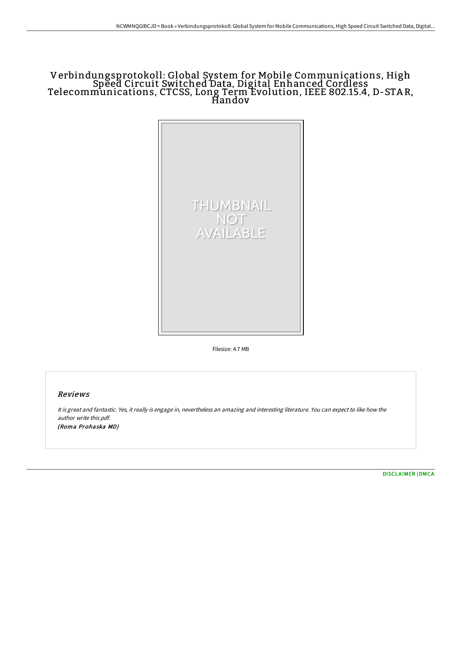# Verbindungsprotokoll: Global System for Mobile Communications, High Speed Circuit Switched Data, Digital Enhanced Cordless Telecommunications, CTCSS, Long Term Evolution, IEEE 802.15.4, D-STA R, Handov



Filesize: 4.7 MB

### Reviews

It is great and fantastic. Yes, it really is engage in, nevertheless an amazing and interesting literature. You can expect to like how the author write this pdf. (Roma Prohaska MD)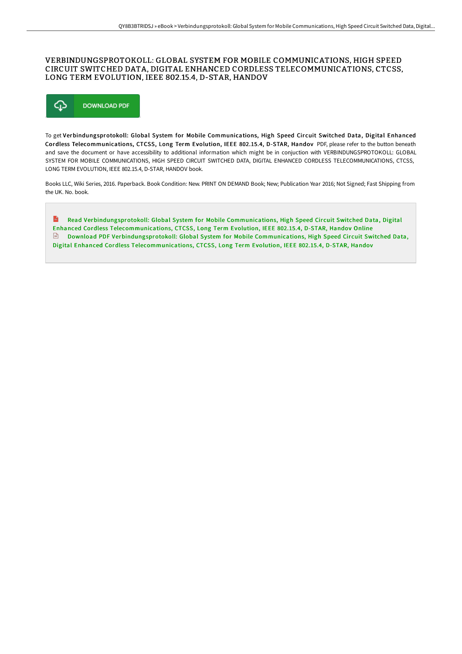### VERBINDUNGSPROTOKOLL: GLOBAL SYSTEM FOR MOBILE COMMUNICATIONS, HIGH SPEED CIRCUIT SWITCHED DATA, DIGITAL ENHANCED CORDLESS TELECOMMUNICATIONS, CTCSS, LONG TERM EVOLUTION, IEEE 802.15.4, D-STAR, HANDOV



To get Verbindungsprotokoll: Global System for Mobile Communications, High Speed Circuit Switched Data, Digital Enhanced Cordless Telecommunications, CTCSS, Long Term Evolution, IEEE 802.15.4, D-STAR, Handov PDF, please refer to the button beneath and save the document or have accessibility to additional information which might be in conjuction with VERBINDUNGSPROTOKOLL: GLOBAL SYSTEM FOR MOBILE COMMUNICATIONS, HIGH SPEED CIRCUIT SWITCHED DATA, DIGITAL ENHANCED CORDLESS TELECOMMUNICATIONS, CTCSS, LONG TERM EVOLUTION, IEEE 802.15.4, D-STAR, HANDOV book.

Books LLC, Wiki Series, 2016. Paperback. Book Condition: New. PRINT ON DEMAND Book; New; Publication Year 2016; Not Signed; Fast Shipping from the UK. No. book.

 $\mathbf{m}$ Read [Verbindungsprotokoll:](http://www.bookdirs.com/verbindungsprotokoll-global-system-for-mobile-co.html) Global System for Mobile Communications, High Speed Circuit Switched Data, Digital Enhanced Cordless Telecommunications, CTCSS, Long Term Evolution, IEEE 802.15.4, D-STAR, Handov Online  $\Box$  Download PDF [Verbindungsprotokoll:](http://www.bookdirs.com/verbindungsprotokoll-global-system-for-mobile-co.html) Global System for Mobile Communications, High Speed Circuit Switched Data, Digital Enhanced Cordless Telecommunications, CTCSS, Long Term Evolution, IEEE 802.15.4, D-STAR, Handov